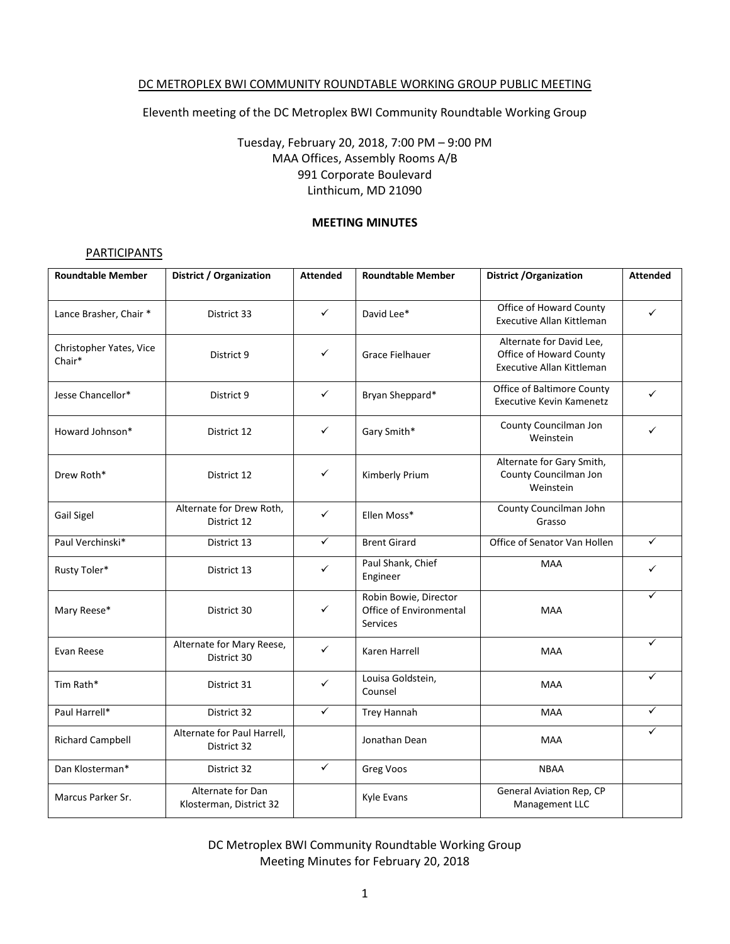#### DC METROPLEX BWI COMMUNITY ROUNDTABLE WORKING GROUP PUBLIC MEETING

Eleventh meeting of the DC Metroplex BWI Community Roundtable Working Group

# Tuesday, February 20, 2018, 7:00 PM – 9:00 PM MAA Offices, Assembly Rooms A/B 991 Corporate Boulevard Linthicum, MD 21090

#### **MEETING MINUTES**

#### **PARTICIPANTS**

| <b>Roundtable Member</b>          | District / Organization                      | <b>Attended</b> | <b>Roundtable Member</b>                                     | <b>District / Organization</b>                                                          | <b>Attended</b> |
|-----------------------------------|----------------------------------------------|-----------------|--------------------------------------------------------------|-----------------------------------------------------------------------------------------|-----------------|
| Lance Brasher, Chair *            | District 33                                  | ✓               | David Lee*                                                   | Office of Howard County<br>Executive Allan Kittleman                                    | ✓               |
| Christopher Yates, Vice<br>Chair* | District 9                                   | ✓               | Grace Fielhauer                                              | Alternate for David Lee,<br>Office of Howard County<br><b>Executive Allan Kittleman</b> |                 |
| Jesse Chancellor*                 | District 9                                   | ✓               | Bryan Sheppard*                                              | Office of Baltimore County<br><b>Executive Kevin Kamenetz</b>                           | ✓               |
| Howard Johnson*                   | District 12                                  | ✓               | Gary Smith*                                                  | County Councilman Jon<br>Weinstein                                                      | ✓               |
| Drew Roth*                        | District 12                                  | ✓               | Kimberly Prium                                               | Alternate for Gary Smith,<br>County Councilman Jon<br>Weinstein                         |                 |
| Gail Sigel                        | Alternate for Drew Roth,<br>District 12      | $\checkmark$    | Ellen Moss*                                                  | County Councilman John<br>Grasso                                                        |                 |
| Paul Verchinski*                  | District 13                                  | $\checkmark$    | <b>Brent Girard</b>                                          | Office of Senator Van Hollen                                                            | $\checkmark$    |
| Rusty Toler*                      | District 13                                  | ✓               | Paul Shank, Chief<br>Engineer                                | <b>MAA</b>                                                                              | ✓               |
| Mary Reese*                       | District 30                                  | ✓               | Robin Bowie, Director<br>Office of Environmental<br>Services | <b>MAA</b>                                                                              | ✓               |
| Evan Reese                        | Alternate for Mary Reese,<br>District 30     | $\checkmark$    | Karen Harrell                                                | <b>MAA</b>                                                                              | ✓               |
| Tim Rath*                         | District 31                                  | $\checkmark$    | Louisa Goldstein,<br>Counsel                                 | <b>MAA</b>                                                                              | $\checkmark$    |
| Paul Harrell*                     | District 32                                  | $\checkmark$    | <b>Trey Hannah</b>                                           | <b>MAA</b>                                                                              | $\checkmark$    |
| <b>Richard Campbell</b>           | Alternate for Paul Harrell,<br>District 32   |                 | Jonathan Dean                                                | <b>MAA</b>                                                                              | ✓               |
| Dan Klosterman*                   | District 32                                  | $\checkmark$    | Greg Voos                                                    | <b>NBAA</b>                                                                             |                 |
| Marcus Parker Sr.                 | Alternate for Dan<br>Klosterman, District 32 |                 | Kyle Evans                                                   | General Aviation Rep, CP<br>Management LLC                                              |                 |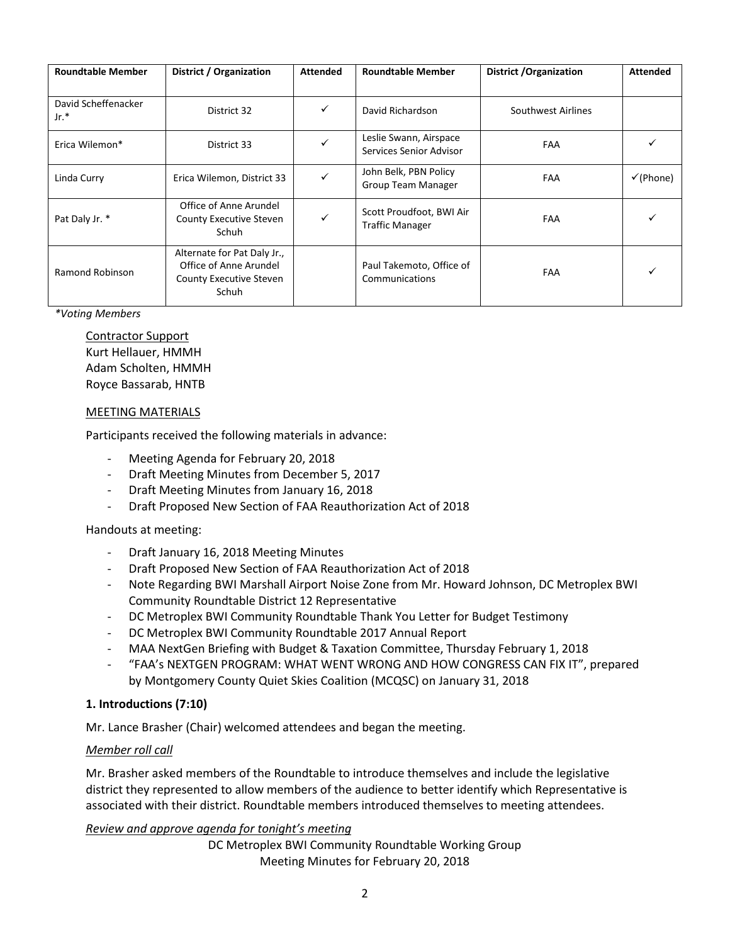| <b>Roundtable Member</b>    | District / Organization                                                                          | <b>Attended</b> | <b>Roundtable Member</b>                           | District / Organization | <b>Attended</b>      |
|-----------------------------|--------------------------------------------------------------------------------------------------|-----------------|----------------------------------------------------|-------------------------|----------------------|
| David Scheffenacker<br>Jr.* | District 32                                                                                      | $\checkmark$    | David Richardson                                   | Southwest Airlines      |                      |
| Erica Wilemon*              | District 33                                                                                      | $\checkmark$    | Leslie Swann, Airspace<br>Services Senior Advisor  | <b>FAA</b>              |                      |
| Linda Curry                 | Erica Wilemon, District 33                                                                       | $\checkmark$    | John Belk, PBN Policy<br><b>Group Team Manager</b> | <b>FAA</b>              | $\checkmark$ (Phone) |
| Pat Daly Jr. *              | Office of Anne Arundel<br>County Executive Steven<br>Schuh                                       | ✓               | Scott Proudfoot, BWI Air<br><b>Traffic Manager</b> | FAA                     |                      |
| Ramond Robinson             | Alternate for Pat Daly Jr.,<br>Office of Anne Arundel<br><b>County Executive Steven</b><br>Schuh |                 | Paul Takemoto, Office of<br>Communications         | FAA                     |                      |

#### *\*Voting Members*

Contractor Support Kurt Hellauer, HMMH Adam Scholten, HMMH Royce Bassarab, HNTB

#### MEETING MATERIALS

Participants received the following materials in advance:

- Meeting Agenda for February 20, 2018
- Draft Meeting Minutes from December 5, 2017
- Draft Meeting Minutes from January 16, 2018
- Draft Proposed New Section of FAA Reauthorization Act of 2018

## Handouts at meeting:

- Draft January 16, 2018 Meeting Minutes
- Draft Proposed New Section of FAA Reauthorization Act of 2018
- Note Regarding BWI Marshall Airport Noise Zone from Mr. Howard Johnson, DC Metroplex BWI Community Roundtable District 12 Representative
- DC Metroplex BWI Community Roundtable Thank You Letter for Budget Testimony
- DC Metroplex BWI Community Roundtable 2017 Annual Report
- MAA NextGen Briefing with Budget & Taxation Committee, Thursday February 1, 2018
- "FAA's NEXTGEN PROGRAM: WHAT WENT WRONG AND HOW CONGRESS CAN FIX IT", prepared by Montgomery County Quiet Skies Coalition (MCQSC) on January 31, 2018

## **1. Introductions (7:10)**

Mr. Lance Brasher (Chair) welcomed attendees and began the meeting.

## *Member roll call*

Mr. Brasher asked members of the Roundtable to introduce themselves and include the legislative district they represented to allow members of the audience to better identify which Representative is associated with their district. Roundtable members introduced themselves to meeting attendees.

## *Review and approve agenda for tonight's meeting*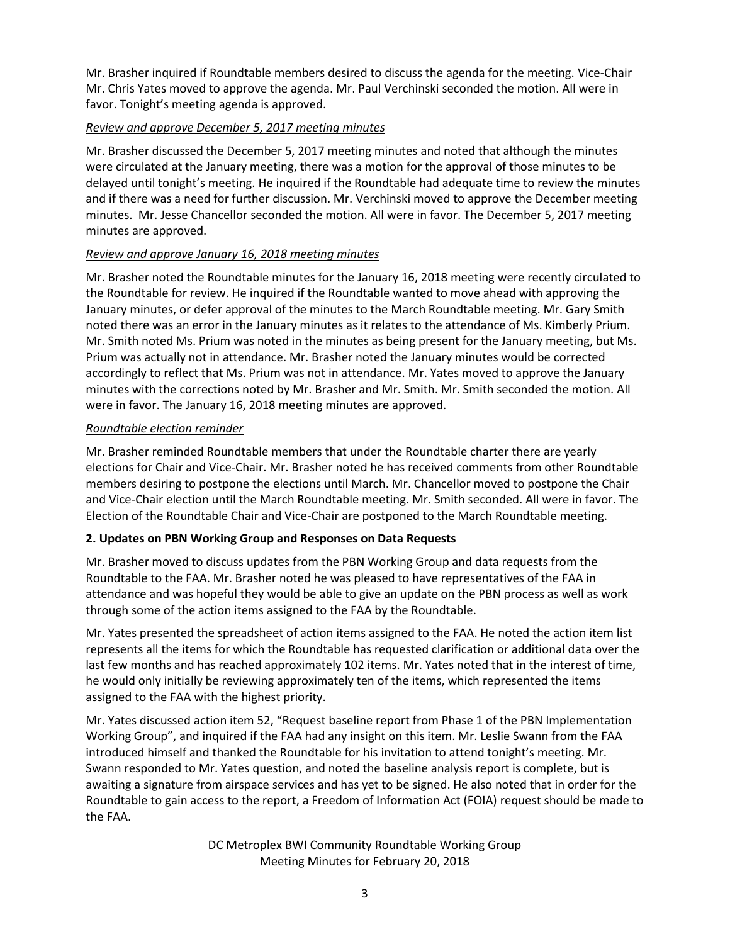Mr. Brasher inquired if Roundtable members desired to discuss the agenda for the meeting. Vice-Chair Mr. Chris Yates moved to approve the agenda. Mr. Paul Verchinski seconded the motion. All were in favor. Tonight's meeting agenda is approved.

# *Review and approve December 5, 2017 meeting minutes*

Mr. Brasher discussed the December 5, 2017 meeting minutes and noted that although the minutes were circulated at the January meeting, there was a motion for the approval of those minutes to be delayed until tonight's meeting. He inquired if the Roundtable had adequate time to review the minutes and if there was a need for further discussion. Mr. Verchinski moved to approve the December meeting minutes. Mr. Jesse Chancellor seconded the motion. All were in favor. The December 5, 2017 meeting minutes are approved.

## *Review and approve January 16, 2018 meeting minutes*

Mr. Brasher noted the Roundtable minutes for the January 16, 2018 meeting were recently circulated to the Roundtable for review. He inquired if the Roundtable wanted to move ahead with approving the January minutes, or defer approval of the minutes to the March Roundtable meeting. Mr. Gary Smith noted there was an error in the January minutes as it relates to the attendance of Ms. Kimberly Prium. Mr. Smith noted Ms. Prium was noted in the minutes as being present for the January meeting, but Ms. Prium was actually not in attendance. Mr. Brasher noted the January minutes would be corrected accordingly to reflect that Ms. Prium was not in attendance. Mr. Yates moved to approve the January minutes with the corrections noted by Mr. Brasher and Mr. Smith. Mr. Smith seconded the motion. All were in favor. The January 16, 2018 meeting minutes are approved.

## *Roundtable election reminder*

Mr. Brasher reminded Roundtable members that under the Roundtable charter there are yearly elections for Chair and Vice-Chair. Mr. Brasher noted he has received comments from other Roundtable members desiring to postpone the elections until March. Mr. Chancellor moved to postpone the Chair and Vice-Chair election until the March Roundtable meeting. Mr. Smith seconded. All were in favor. The Election of the Roundtable Chair and Vice-Chair are postponed to the March Roundtable meeting.

# **2. Updates on PBN Working Group and Responses on Data Requests**

Mr. Brasher moved to discuss updates from the PBN Working Group and data requests from the Roundtable to the FAA. Mr. Brasher noted he was pleased to have representatives of the FAA in attendance and was hopeful they would be able to give an update on the PBN process as well as work through some of the action items assigned to the FAA by the Roundtable.

Mr. Yates presented the spreadsheet of action items assigned to the FAA. He noted the action item list represents all the items for which the Roundtable has requested clarification or additional data over the last few months and has reached approximately 102 items. Mr. Yates noted that in the interest of time, he would only initially be reviewing approximately ten of the items, which represented the items assigned to the FAA with the highest priority.

Mr. Yates discussed action item 52, "Request baseline report from Phase 1 of the PBN Implementation Working Group", and inquired if the FAA had any insight on this item. Mr. Leslie Swann from the FAA introduced himself and thanked the Roundtable for his invitation to attend tonight's meeting. Mr. Swann responded to Mr. Yates question, and noted the baseline analysis report is complete, but is awaiting a signature from airspace services and has yet to be signed. He also noted that in order for the Roundtable to gain access to the report, a Freedom of Information Act (FOIA) request should be made to the FAA.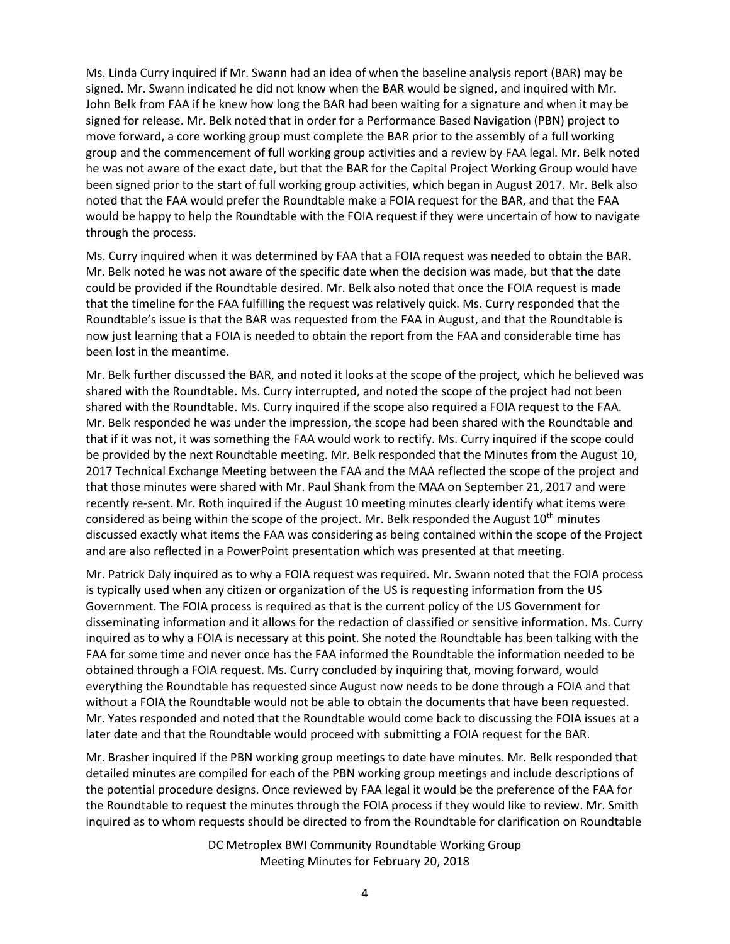Ms. Linda Curry inquired if Mr. Swann had an idea of when the baseline analysis report (BAR) may be signed. Mr. Swann indicated he did not know when the BAR would be signed, and inquired with Mr. John Belk from FAA if he knew how long the BAR had been waiting for a signature and when it may be signed for release. Mr. Belk noted that in order for a Performance Based Navigation (PBN) project to move forward, a core working group must complete the BAR prior to the assembly of a full working group and the commencement of full working group activities and a review by FAA legal. Mr. Belk noted he was not aware of the exact date, but that the BAR for the Capital Project Working Group would have been signed prior to the start of full working group activities, which began in August 2017. Mr. Belk also noted that the FAA would prefer the Roundtable make a FOIA request for the BAR, and that the FAA would be happy to help the Roundtable with the FOIA request if they were uncertain of how to navigate through the process.

Ms. Curry inquired when it was determined by FAA that a FOIA request was needed to obtain the BAR. Mr. Belk noted he was not aware of the specific date when the decision was made, but that the date could be provided if the Roundtable desired. Mr. Belk also noted that once the FOIA request is made that the timeline for the FAA fulfilling the request was relatively quick. Ms. Curry responded that the Roundtable's issue is that the BAR was requested from the FAA in August, and that the Roundtable is now just learning that a FOIA is needed to obtain the report from the FAA and considerable time has been lost in the meantime.

Mr. Belk further discussed the BAR, and noted it looks at the scope of the project, which he believed was shared with the Roundtable. Ms. Curry interrupted, and noted the scope of the project had not been shared with the Roundtable. Ms. Curry inquired if the scope also required a FOIA request to the FAA. Mr. Belk responded he was under the impression, the scope had been shared with the Roundtable and that if it was not, it was something the FAA would work to rectify. Ms. Curry inquired if the scope could be provided by the next Roundtable meeting. Mr. Belk responded that the Minutes from the August 10, 2017 Technical Exchange Meeting between the FAA and the MAA reflected the scope of the project and that those minutes were shared with Mr. Paul Shank from the MAA on September 21, 2017 and were recently re-sent. Mr. Roth inquired if the August 10 meeting minutes clearly identify what items were considered as being within the scope of the project. Mr. Belk responded the August  $10^{th}$  minutes discussed exactly what items the FAA was considering as being contained within the scope of the Project and are also reflected in a PowerPoint presentation which was presented at that meeting.

Mr. Patrick Daly inquired as to why a FOIA request was required. Mr. Swann noted that the FOIA process is typically used when any citizen or organization of the US is requesting information from the US Government. The FOIA process is required as that is the current policy of the US Government for disseminating information and it allows for the redaction of classified or sensitive information. Ms. Curry inquired as to why a FOIA is necessary at this point. She noted the Roundtable has been talking with the FAA for some time and never once has the FAA informed the Roundtable the information needed to be obtained through a FOIA request. Ms. Curry concluded by inquiring that, moving forward, would everything the Roundtable has requested since August now needs to be done through a FOIA and that without a FOIA the Roundtable would not be able to obtain the documents that have been requested. Mr. Yates responded and noted that the Roundtable would come back to discussing the FOIA issues at a later date and that the Roundtable would proceed with submitting a FOIA request for the BAR.

Mr. Brasher inquired if the PBN working group meetings to date have minutes. Mr. Belk responded that detailed minutes are compiled for each of the PBN working group meetings and include descriptions of the potential procedure designs. Once reviewed by FAA legal it would be the preference of the FAA for the Roundtable to request the minutes through the FOIA process if they would like to review. Mr. Smith inquired as to whom requests should be directed to from the Roundtable for clarification on Roundtable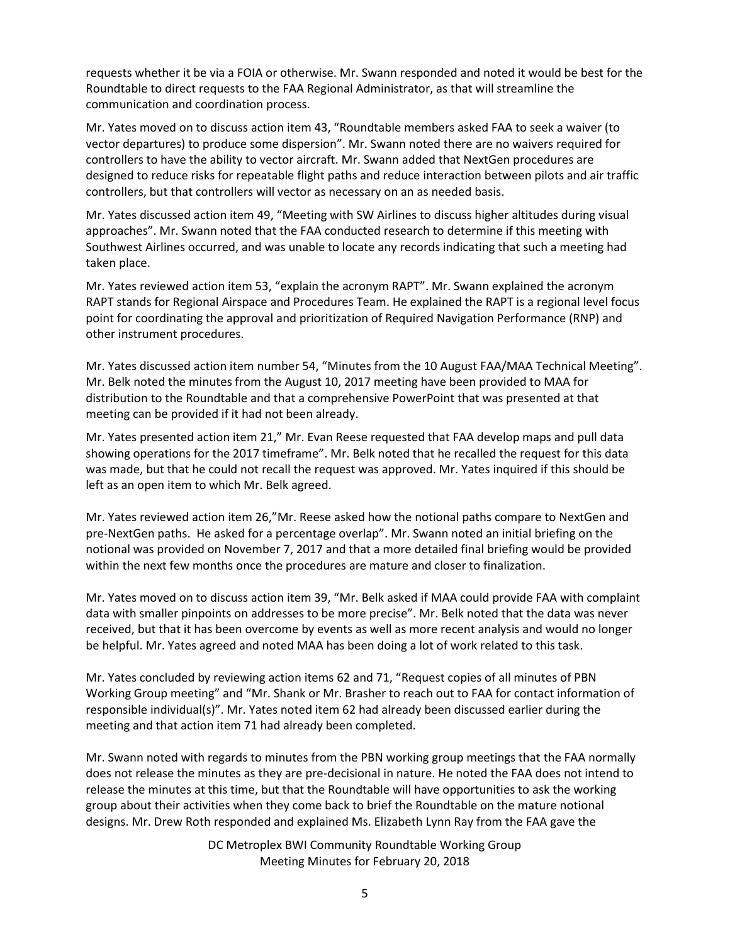requests whether it be via a FOIA or otherwise. Mr. Swann responded and noted it would be best for the Roundtable to direct requests to the FAA Regional Administrator, as that will streamline the communication and coordination process.

Mr. Yates moved on to discuss action item 43, "Roundtable members asked FAA to seek a waiver (to vector departures) to produce some dispersion". Mr. Swann noted there are no waivers required for controllers to have the ability to vector aircraft. Mr. Swann added that NextGen procedures are designed to reduce risks for repeatable flight paths and reduce interaction between pilots and air traffic controllers, but that controllers will vector as necessary on an as needed basis.

Mr. Yates discussed action item 49, "Meeting with SW Airlines to discuss higher altitudes during visual approaches". Mr. Swann noted that the FAA conducted research to determine if this meeting with Southwest Airlines occurred, and was unable to locate any records indicating that such a meeting had taken place.

Mr. Yates reviewed action item 53, "explain the acronym RAPT". Mr. Swann explained the acronym RAPT stands for Regional Airspace and Procedures Team. He explained the RAPT is a regional level focus point for coordinating the approval and prioritization of Required Navigation Performance (RNP) and other instrument procedures.

Mr. Yates discussed action item number 54, "Minutes from the 10 August FAA/MAA Technical Meeting". Mr. Belk noted the minutes from the August 10, 2017 meeting have been provided to MAA for distribution to the Roundtable and that a comprehensive PowerPoint that was presented at that meeting can be provided if it had not been already.

Mr. Yates presented action item 21," Mr. Evan Reese requested that FAA develop maps and pull data showing operations for the 2017 timeframe". Mr. Belk noted that he recalled the request for this data was made, but that he could not recall the request was approved. Mr. Yates inquired if this should be left as an open item to which Mr. Belk agreed.

Mr. Yates reviewed action item 26,"Mr. Reese asked how the notional paths compare to NextGen and pre-NextGen paths. He asked for a percentage overlap". Mr. Swann noted an initial briefing on the notional was provided on November 7, 2017 and that a more detailed final briefing would be provided within the next few months once the procedures are mature and closer to finalization.

Mr. Yates moved on to discuss action item 39, "Mr. Belk asked if MAA could provide FAA with complaint data with smaller pinpoints on addresses to be more precise". Mr. Belk noted that the data was never received, but that it has been overcome by events as well as more recent analysis and would no longer be helpful. Mr. Yates agreed and noted MAA has been doing a lot of work related to this task.

Mr. Yates concluded by reviewing action items 62 and 71, "Request copies of all minutes of PBN Working Group meeting" and "Mr. Shank or Mr. Brasher to reach out to FAA for contact information of responsible individual(s)". Mr. Yates noted item 62 had already been discussed earlier during the meeting and that action item 71 had already been completed.

Mr. Swann noted with regards to minutes from the PBN working group meetings that the FAA normally does not release the minutes as they are pre-decisional in nature. He noted the FAA does not intend to release the minutes at this time, but that the Roundtable will have opportunities to ask the working group about their activities when they come back to brief the Roundtable on the mature notional designs. Mr. Drew Roth responded and explained Ms. Elizabeth Lynn Ray from the FAA gave the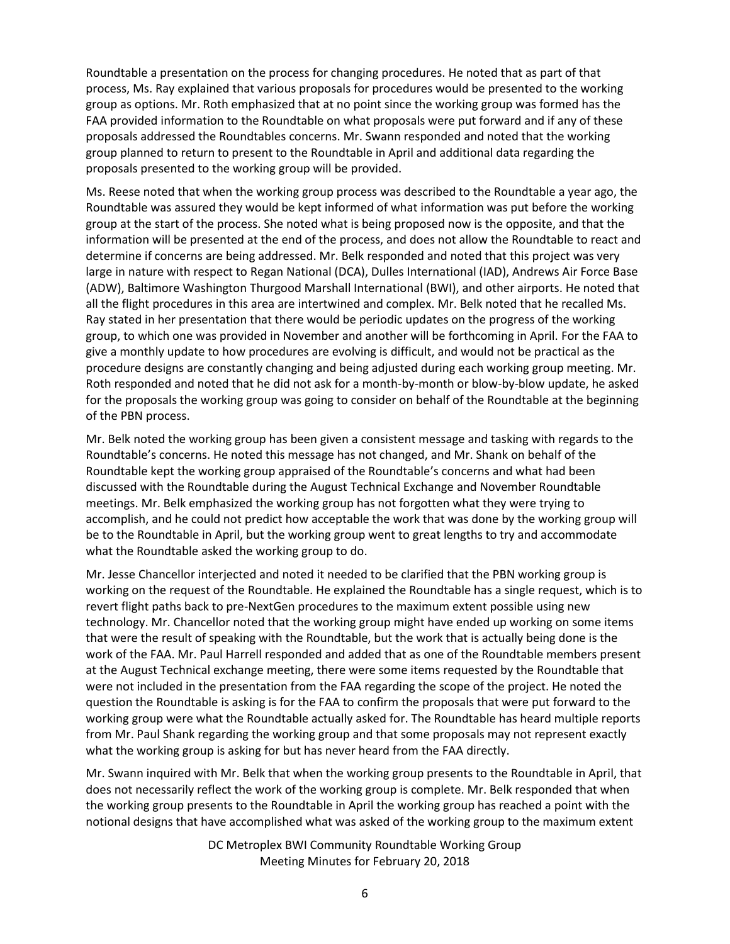Roundtable a presentation on the process for changing procedures. He noted that as part of that process, Ms. Ray explained that various proposals for procedures would be presented to the working group as options. Mr. Roth emphasized that at no point since the working group was formed has the FAA provided information to the Roundtable on what proposals were put forward and if any of these proposals addressed the Roundtables concerns. Mr. Swann responded and noted that the working group planned to return to present to the Roundtable in April and additional data regarding the proposals presented to the working group will be provided.

Ms. Reese noted that when the working group process was described to the Roundtable a year ago, the Roundtable was assured they would be kept informed of what information was put before the working group at the start of the process. She noted what is being proposed now is the opposite, and that the information will be presented at the end of the process, and does not allow the Roundtable to react and determine if concerns are being addressed. Mr. Belk responded and noted that this project was very large in nature with respect to Regan National (DCA), Dulles International (IAD), Andrews Air Force Base (ADW), Baltimore Washington Thurgood Marshall International (BWI), and other airports. He noted that all the flight procedures in this area are intertwined and complex. Mr. Belk noted that he recalled Ms. Ray stated in her presentation that there would be periodic updates on the progress of the working group, to which one was provided in November and another will be forthcoming in April. For the FAA to give a monthly update to how procedures are evolving is difficult, and would not be practical as the procedure designs are constantly changing and being adjusted during each working group meeting. Mr. Roth responded and noted that he did not ask for a month-by-month or blow-by-blow update, he asked for the proposals the working group was going to consider on behalf of the Roundtable at the beginning of the PBN process.

Mr. Belk noted the working group has been given a consistent message and tasking with regards to the Roundtable's concerns. He noted this message has not changed, and Mr. Shank on behalf of the Roundtable kept the working group appraised of the Roundtable's concerns and what had been discussed with the Roundtable during the August Technical Exchange and November Roundtable meetings. Mr. Belk emphasized the working group has not forgotten what they were trying to accomplish, and he could not predict how acceptable the work that was done by the working group will be to the Roundtable in April, but the working group went to great lengths to try and accommodate what the Roundtable asked the working group to do.

Mr. Jesse Chancellor interjected and noted it needed to be clarified that the PBN working group is working on the request of the Roundtable. He explained the Roundtable has a single request, which is to revert flight paths back to pre-NextGen procedures to the maximum extent possible using new technology. Mr. Chancellor noted that the working group might have ended up working on some items that were the result of speaking with the Roundtable, but the work that is actually being done is the work of the FAA. Mr. Paul Harrell responded and added that as one of the Roundtable members present at the August Technical exchange meeting, there were some items requested by the Roundtable that were not included in the presentation from the FAA regarding the scope of the project. He noted the question the Roundtable is asking is for the FAA to confirm the proposals that were put forward to the working group were what the Roundtable actually asked for. The Roundtable has heard multiple reports from Mr. Paul Shank regarding the working group and that some proposals may not represent exactly what the working group is asking for but has never heard from the FAA directly.

Mr. Swann inquired with Mr. Belk that when the working group presents to the Roundtable in April, that does not necessarily reflect the work of the working group is complete. Mr. Belk responded that when the working group presents to the Roundtable in April the working group has reached a point with the notional designs that have accomplished what was asked of the working group to the maximum extent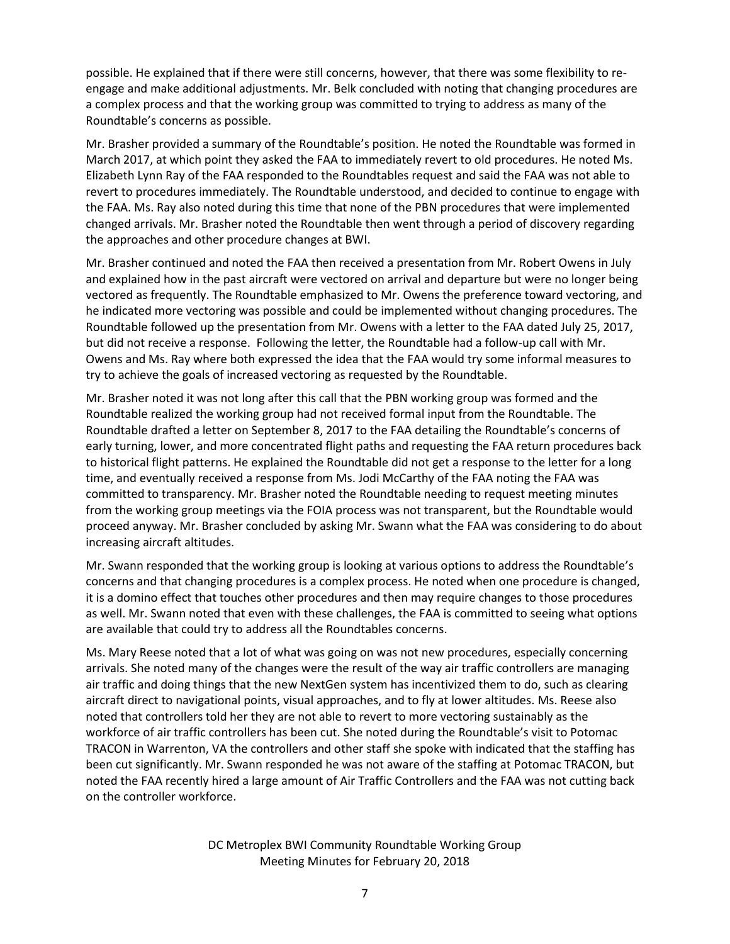possible. He explained that if there were still concerns, however, that there was some flexibility to reengage and make additional adjustments. Mr. Belk concluded with noting that changing procedures are a complex process and that the working group was committed to trying to address as many of the Roundtable's concerns as possible.

Mr. Brasher provided a summary of the Roundtable's position. He noted the Roundtable was formed in March 2017, at which point they asked the FAA to immediately revert to old procedures. He noted Ms. Elizabeth Lynn Ray of the FAA responded to the Roundtables request and said the FAA was not able to revert to procedures immediately. The Roundtable understood, and decided to continue to engage with the FAA. Ms. Ray also noted during this time that none of the PBN procedures that were implemented changed arrivals. Mr. Brasher noted the Roundtable then went through a period of discovery regarding the approaches and other procedure changes at BWI.

Mr. Brasher continued and noted the FAA then received a presentation from Mr. Robert Owens in July and explained how in the past aircraft were vectored on arrival and departure but were no longer being vectored as frequently. The Roundtable emphasized to Mr. Owens the preference toward vectoring, and he indicated more vectoring was possible and could be implemented without changing procedures. The Roundtable followed up the presentation from Mr. Owens with a letter to the FAA dated July 25, 2017, but did not receive a response. Following the letter, the Roundtable had a follow-up call with Mr. Owens and Ms. Ray where both expressed the idea that the FAA would try some informal measures to try to achieve the goals of increased vectoring as requested by the Roundtable.

Mr. Brasher noted it was not long after this call that the PBN working group was formed and the Roundtable realized the working group had not received formal input from the Roundtable. The Roundtable drafted a letter on September 8, 2017 to the FAA detailing the Roundtable's concerns of early turning, lower, and more concentrated flight paths and requesting the FAA return procedures back to historical flight patterns. He explained the Roundtable did not get a response to the letter for a long time, and eventually received a response from Ms. Jodi McCarthy of the FAA noting the FAA was committed to transparency. Mr. Brasher noted the Roundtable needing to request meeting minutes from the working group meetings via the FOIA process was not transparent, but the Roundtable would proceed anyway. Mr. Brasher concluded by asking Mr. Swann what the FAA was considering to do about increasing aircraft altitudes.

Mr. Swann responded that the working group is looking at various options to address the Roundtable's concerns and that changing procedures is a complex process. He noted when one procedure is changed, it is a domino effect that touches other procedures and then may require changes to those procedures as well. Mr. Swann noted that even with these challenges, the FAA is committed to seeing what options are available that could try to address all the Roundtables concerns.

Ms. Mary Reese noted that a lot of what was going on was not new procedures, especially concerning arrivals. She noted many of the changes were the result of the way air traffic controllers are managing air traffic and doing things that the new NextGen system has incentivized them to do, such as clearing aircraft direct to navigational points, visual approaches, and to fly at lower altitudes. Ms. Reese also noted that controllers told her they are not able to revert to more vectoring sustainably as the workforce of air traffic controllers has been cut. She noted during the Roundtable's visit to Potomac TRACON in Warrenton, VA the controllers and other staff she spoke with indicated that the staffing has been cut significantly. Mr. Swann responded he was not aware of the staffing at Potomac TRACON, but noted the FAA recently hired a large amount of Air Traffic Controllers and the FAA was not cutting back on the controller workforce.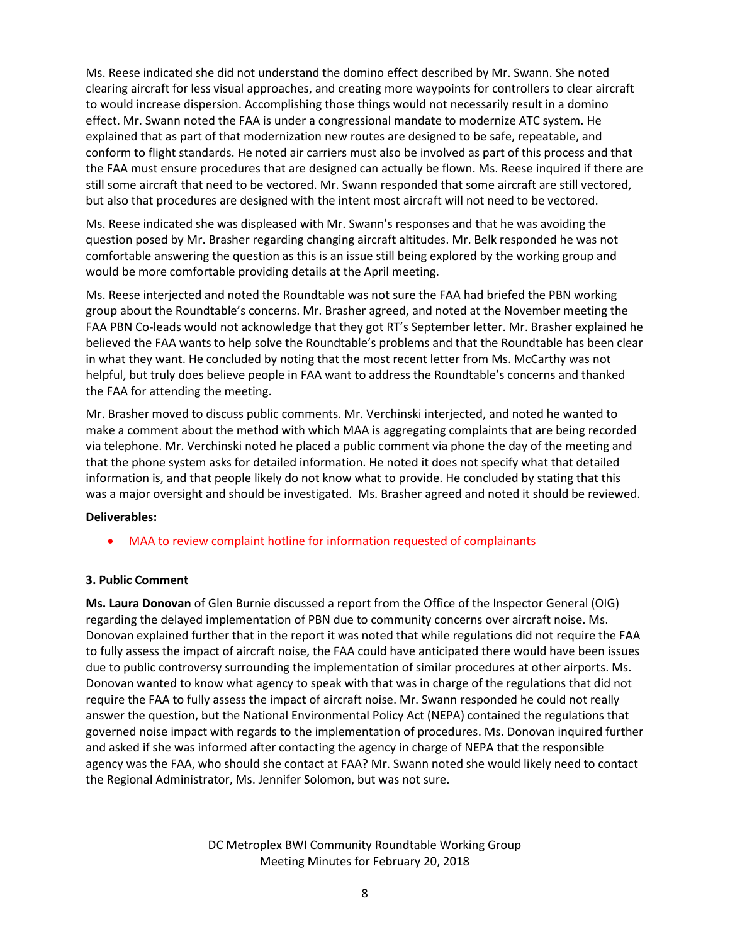Ms. Reese indicated she did not understand the domino effect described by Mr. Swann. She noted clearing aircraft for less visual approaches, and creating more waypoints for controllers to clear aircraft to would increase dispersion. Accomplishing those things would not necessarily result in a domino effect. Mr. Swann noted the FAA is under a congressional mandate to modernize ATC system. He explained that as part of that modernization new routes are designed to be safe, repeatable, and conform to flight standards. He noted air carriers must also be involved as part of this process and that the FAA must ensure procedures that are designed can actually be flown. Ms. Reese inquired if there are still some aircraft that need to be vectored. Mr. Swann responded that some aircraft are still vectored, but also that procedures are designed with the intent most aircraft will not need to be vectored.

Ms. Reese indicated she was displeased with Mr. Swann's responses and that he was avoiding the question posed by Mr. Brasher regarding changing aircraft altitudes. Mr. Belk responded he was not comfortable answering the question as this is an issue still being explored by the working group and would be more comfortable providing details at the April meeting.

Ms. Reese interjected and noted the Roundtable was not sure the FAA had briefed the PBN working group about the Roundtable's concerns. Mr. Brasher agreed, and noted at the November meeting the FAA PBN Co-leads would not acknowledge that they got RT's September letter. Mr. Brasher explained he believed the FAA wants to help solve the Roundtable's problems and that the Roundtable has been clear in what they want. He concluded by noting that the most recent letter from Ms. McCarthy was not helpful, but truly does believe people in FAA want to address the Roundtable's concerns and thanked the FAA for attending the meeting.

Mr. Brasher moved to discuss public comments. Mr. Verchinski interjected, and noted he wanted to make a comment about the method with which MAA is aggregating complaints that are being recorded via telephone. Mr. Verchinski noted he placed a public comment via phone the day of the meeting and that the phone system asks for detailed information. He noted it does not specify what that detailed information is, and that people likely do not know what to provide. He concluded by stating that this was a major oversight and should be investigated. Ms. Brasher agreed and noted it should be reviewed.

## **Deliverables:**

MAA to review complaint hotline for information requested of complainants

## **3. Public Comment**

**Ms. Laura Donovan** of Glen Burnie discussed a report from the Office of the Inspector General (OIG) regarding the delayed implementation of PBN due to community concerns over aircraft noise. Ms. Donovan explained further that in the report it was noted that while regulations did not require the FAA to fully assess the impact of aircraft noise, the FAA could have anticipated there would have been issues due to public controversy surrounding the implementation of similar procedures at other airports. Ms. Donovan wanted to know what agency to speak with that was in charge of the regulations that did not require the FAA to fully assess the impact of aircraft noise. Mr. Swann responded he could not really answer the question, but the National Environmental Policy Act (NEPA) contained the regulations that governed noise impact with regards to the implementation of procedures. Ms. Donovan inquired further and asked if she was informed after contacting the agency in charge of NEPA that the responsible agency was the FAA, who should she contact at FAA? Mr. Swann noted she would likely need to contact the Regional Administrator, Ms. Jennifer Solomon, but was not sure.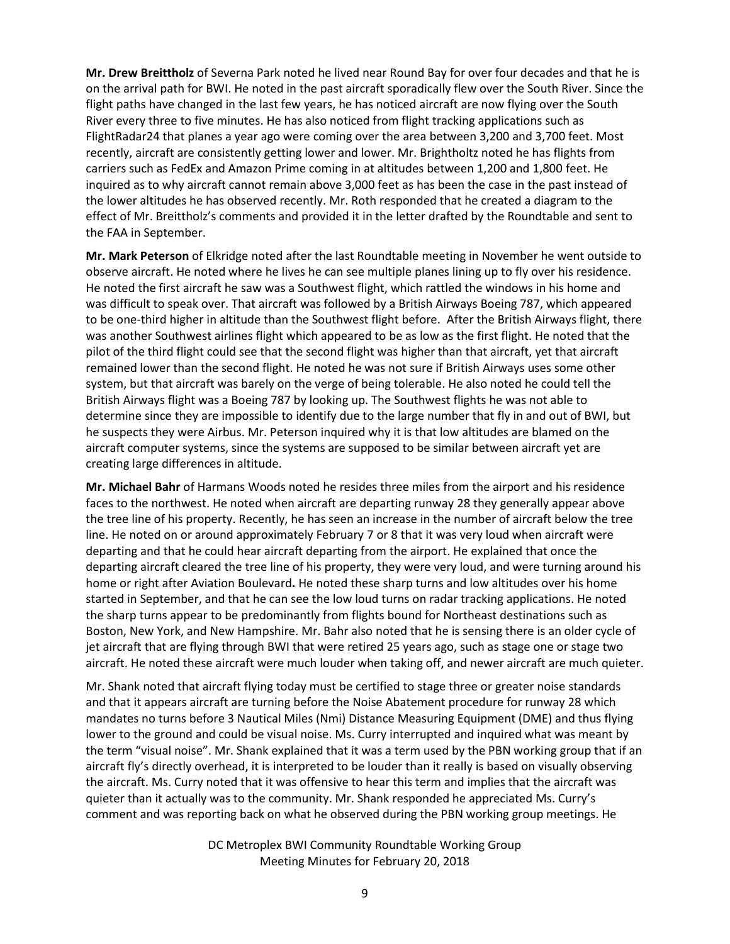**Mr. Drew Breittholz** of Severna Park noted he lived near Round Bay for over four decades and that he is on the arrival path for BWI. He noted in the past aircraft sporadically flew over the South River. Since the flight paths have changed in the last few years, he has noticed aircraft are now flying over the South River every three to five minutes. He has also noticed from flight tracking applications such as FlightRadar24 that planes a year ago were coming over the area between 3,200 and 3,700 feet. Most recently, aircraft are consistently getting lower and lower. Mr. Brightholtz noted he has flights from carriers such as FedEx and Amazon Prime coming in at altitudes between 1,200 and 1,800 feet. He inquired as to why aircraft cannot remain above 3,000 feet as has been the case in the past instead of the lower altitudes he has observed recently. Mr. Roth responded that he created a diagram to the effect of Mr. Breittholz's comments and provided it in the letter drafted by the Roundtable and sent to the FAA in September.

**Mr. Mark Peterson** of Elkridge noted after the last Roundtable meeting in November he went outside to observe aircraft. He noted where he lives he can see multiple planes lining up to fly over his residence. He noted the first aircraft he saw was a Southwest flight, which rattled the windows in his home and was difficult to speak over. That aircraft was followed by a British Airways Boeing 787, which appeared to be one-third higher in altitude than the Southwest flight before. After the British Airways flight, there was another Southwest airlines flight which appeared to be as low as the first flight. He noted that the pilot of the third flight could see that the second flight was higher than that aircraft, yet that aircraft remained lower than the second flight. He noted he was not sure if British Airways uses some other system, but that aircraft was barely on the verge of being tolerable. He also noted he could tell the British Airways flight was a Boeing 787 by looking up. The Southwest flights he was not able to determine since they are impossible to identify due to the large number that fly in and out of BWI, but he suspects they were Airbus. Mr. Peterson inquired why it is that low altitudes are blamed on the aircraft computer systems, since the systems are supposed to be similar between aircraft yet are creating large differences in altitude.

**Mr. Michael Bahr** of Harmans Woods noted he resides three miles from the airport and his residence faces to the northwest. He noted when aircraft are departing runway 28 they generally appear above the tree line of his property. Recently, he has seen an increase in the number of aircraft below the tree line. He noted on or around approximately February 7 or 8 that it was very loud when aircraft were departing and that he could hear aircraft departing from the airport. He explained that once the departing aircraft cleared the tree line of his property, they were very loud, and were turning around his home or right after Aviation Boulevard**.** He noted these sharp turns and low altitudes over his home started in September, and that he can see the low loud turns on radar tracking applications. He noted the sharp turns appear to be predominantly from flights bound for Northeast destinations such as Boston, New York, and New Hampshire. Mr. Bahr also noted that he is sensing there is an older cycle of jet aircraft that are flying through BWI that were retired 25 years ago, such as stage one or stage two aircraft. He noted these aircraft were much louder when taking off, and newer aircraft are much quieter.

Mr. Shank noted that aircraft flying today must be certified to stage three or greater noise standards and that it appears aircraft are turning before the Noise Abatement procedure for runway 28 which mandates no turns before 3 Nautical Miles (Nmi) Distance Measuring Equipment (DME) and thus flying lower to the ground and could be visual noise. Ms. Curry interrupted and inquired what was meant by the term "visual noise". Mr. Shank explained that it was a term used by the PBN working group that if an aircraft fly's directly overhead, it is interpreted to be louder than it really is based on visually observing the aircraft. Ms. Curry noted that it was offensive to hear this term and implies that the aircraft was quieter than it actually was to the community. Mr. Shank responded he appreciated Ms. Curry's comment and was reporting back on what he observed during the PBN working group meetings. He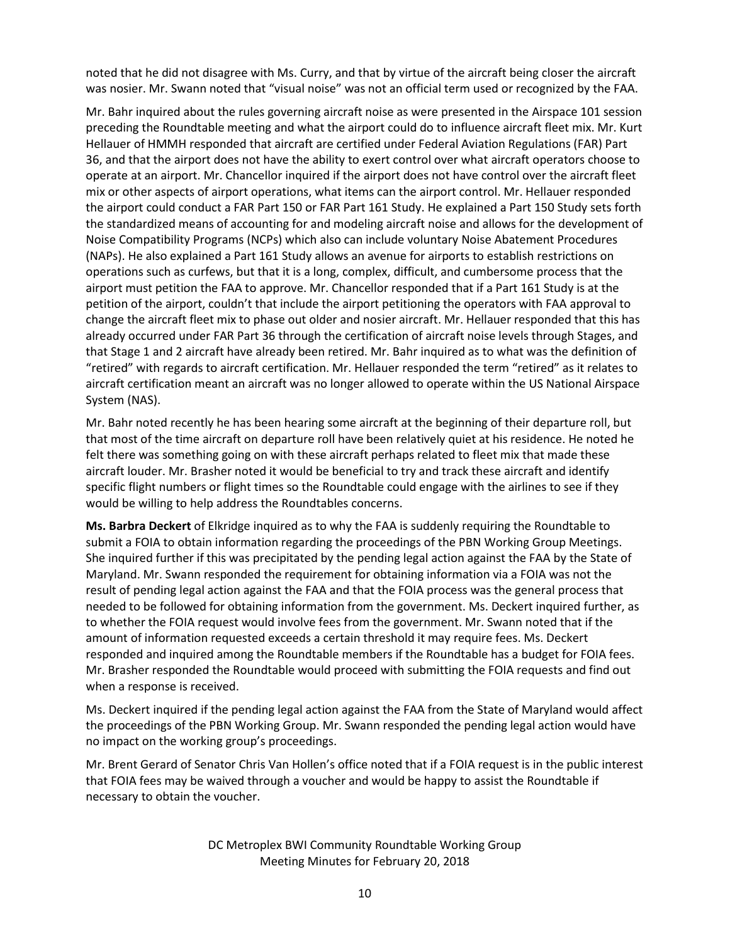noted that he did not disagree with Ms. Curry, and that by virtue of the aircraft being closer the aircraft was nosier. Mr. Swann noted that "visual noise" was not an official term used or recognized by the FAA.

Mr. Bahr inquired about the rules governing aircraft noise as were presented in the Airspace 101 session preceding the Roundtable meeting and what the airport could do to influence aircraft fleet mix. Mr. Kurt Hellauer of HMMH responded that aircraft are certified under Federal Aviation Regulations (FAR) Part 36, and that the airport does not have the ability to exert control over what aircraft operators choose to operate at an airport. Mr. Chancellor inquired if the airport does not have control over the aircraft fleet mix or other aspects of airport operations, what items can the airport control. Mr. Hellauer responded the airport could conduct a FAR Part 150 or FAR Part 161 Study. He explained a Part 150 Study sets forth the standardized means of accounting for and modeling aircraft noise and allows for the development of Noise Compatibility Programs (NCPs) which also can include voluntary Noise Abatement Procedures (NAPs). He also explained a Part 161 Study allows an avenue for airports to establish restrictions on operations such as curfews, but that it is a long, complex, difficult, and cumbersome process that the airport must petition the FAA to approve. Mr. Chancellor responded that if a Part 161 Study is at the petition of the airport, couldn't that include the airport petitioning the operators with FAA approval to change the aircraft fleet mix to phase out older and nosier aircraft. Mr. Hellauer responded that this has already occurred under FAR Part 36 through the certification of aircraft noise levels through Stages, and that Stage 1 and 2 aircraft have already been retired. Mr. Bahr inquired as to what was the definition of "retired" with regards to aircraft certification. Mr. Hellauer responded the term "retired" as it relates to aircraft certification meant an aircraft was no longer allowed to operate within the US National Airspace System (NAS).

Mr. Bahr noted recently he has been hearing some aircraft at the beginning of their departure roll, but that most of the time aircraft on departure roll have been relatively quiet at his residence. He noted he felt there was something going on with these aircraft perhaps related to fleet mix that made these aircraft louder. Mr. Brasher noted it would be beneficial to try and track these aircraft and identify specific flight numbers or flight times so the Roundtable could engage with the airlines to see if they would be willing to help address the Roundtables concerns.

**Ms. Barbra Deckert** of Elkridge inquired as to why the FAA is suddenly requiring the Roundtable to submit a FOIA to obtain information regarding the proceedings of the PBN Working Group Meetings. She inquired further if this was precipitated by the pending legal action against the FAA by the State of Maryland. Mr. Swann responded the requirement for obtaining information via a FOIA was not the result of pending legal action against the FAA and that the FOIA process was the general process that needed to be followed for obtaining information from the government. Ms. Deckert inquired further, as to whether the FOIA request would involve fees from the government. Mr. Swann noted that if the amount of information requested exceeds a certain threshold it may require fees. Ms. Deckert responded and inquired among the Roundtable members if the Roundtable has a budget for FOIA fees. Mr. Brasher responded the Roundtable would proceed with submitting the FOIA requests and find out when a response is received.

Ms. Deckert inquired if the pending legal action against the FAA from the State of Maryland would affect the proceedings of the PBN Working Group. Mr. Swann responded the pending legal action would have no impact on the working group's proceedings.

Mr. Brent Gerard of Senator Chris Van Hollen's office noted that if a FOIA request is in the public interest that FOIA fees may be waived through a voucher and would be happy to assist the Roundtable if necessary to obtain the voucher.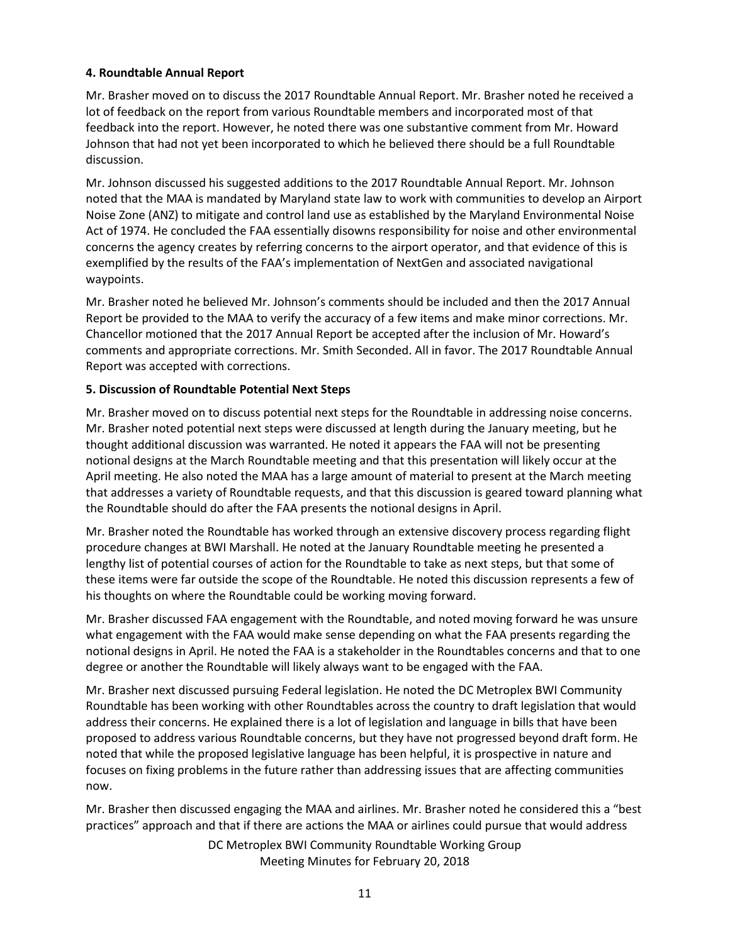## **4. Roundtable Annual Report**

Mr. Brasher moved on to discuss the 2017 Roundtable Annual Report. Mr. Brasher noted he received a lot of feedback on the report from various Roundtable members and incorporated most of that feedback into the report. However, he noted there was one substantive comment from Mr. Howard Johnson that had not yet been incorporated to which he believed there should be a full Roundtable discussion.

Mr. Johnson discussed his suggested additions to the 2017 Roundtable Annual Report. Mr. Johnson noted that the MAA is mandated by Maryland state law to work with communities to develop an Airport Noise Zone (ANZ) to mitigate and control land use as established by the Maryland Environmental Noise Act of 1974. He concluded the FAA essentially disowns responsibility for noise and other environmental concerns the agency creates by referring concerns to the airport operator, and that evidence of this is exemplified by the results of the FAA's implementation of NextGen and associated navigational waypoints.

Mr. Brasher noted he believed Mr. Johnson's comments should be included and then the 2017 Annual Report be provided to the MAA to verify the accuracy of a few items and make minor corrections. Mr. Chancellor motioned that the 2017 Annual Report be accepted after the inclusion of Mr. Howard's comments and appropriate corrections. Mr. Smith Seconded. All in favor. The 2017 Roundtable Annual Report was accepted with corrections.

## **5. Discussion of Roundtable Potential Next Steps**

Mr. Brasher moved on to discuss potential next steps for the Roundtable in addressing noise concerns. Mr. Brasher noted potential next steps were discussed at length during the January meeting, but he thought additional discussion was warranted. He noted it appears the FAA will not be presenting notional designs at the March Roundtable meeting and that this presentation will likely occur at the April meeting. He also noted the MAA has a large amount of material to present at the March meeting that addresses a variety of Roundtable requests, and that this discussion is geared toward planning what the Roundtable should do after the FAA presents the notional designs in April.

Mr. Brasher noted the Roundtable has worked through an extensive discovery process regarding flight procedure changes at BWI Marshall. He noted at the January Roundtable meeting he presented a lengthy list of potential courses of action for the Roundtable to take as next steps, but that some of these items were far outside the scope of the Roundtable. He noted this discussion represents a few of his thoughts on where the Roundtable could be working moving forward.

Mr. Brasher discussed FAA engagement with the Roundtable, and noted moving forward he was unsure what engagement with the FAA would make sense depending on what the FAA presents regarding the notional designs in April. He noted the FAA is a stakeholder in the Roundtables concerns and that to one degree or another the Roundtable will likely always want to be engaged with the FAA.

Mr. Brasher next discussed pursuing Federal legislation. He noted the DC Metroplex BWI Community Roundtable has been working with other Roundtables across the country to draft legislation that would address their concerns. He explained there is a lot of legislation and language in bills that have been proposed to address various Roundtable concerns, but they have not progressed beyond draft form. He noted that while the proposed legislative language has been helpful, it is prospective in nature and focuses on fixing problems in the future rather than addressing issues that are affecting communities now.

Mr. Brasher then discussed engaging the MAA and airlines. Mr. Brasher noted he considered this a "best practices" approach and that if there are actions the MAA or airlines could pursue that would address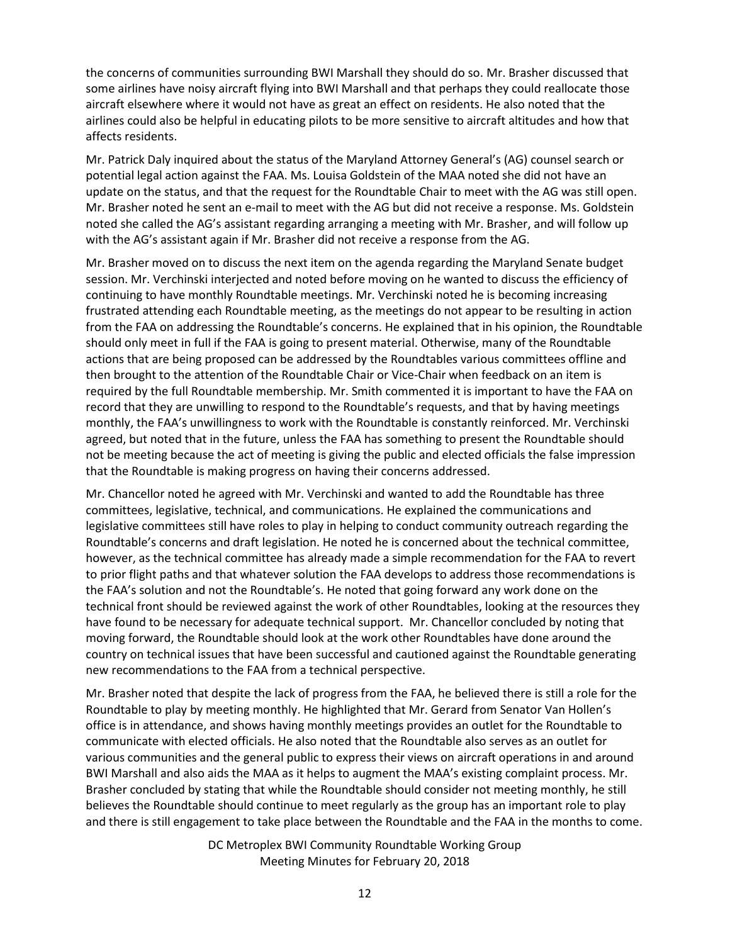the concerns of communities surrounding BWI Marshall they should do so. Mr. Brasher discussed that some airlines have noisy aircraft flying into BWI Marshall and that perhaps they could reallocate those aircraft elsewhere where it would not have as great an effect on residents. He also noted that the airlines could also be helpful in educating pilots to be more sensitive to aircraft altitudes and how that affects residents.

Mr. Patrick Daly inquired about the status of the Maryland Attorney General's (AG) counsel search or potential legal action against the FAA. Ms. Louisa Goldstein of the MAA noted she did not have an update on the status, and that the request for the Roundtable Chair to meet with the AG was still open. Mr. Brasher noted he sent an e-mail to meet with the AG but did not receive a response. Ms. Goldstein noted she called the AG's assistant regarding arranging a meeting with Mr. Brasher, and will follow up with the AG's assistant again if Mr. Brasher did not receive a response from the AG.

Mr. Brasher moved on to discuss the next item on the agenda regarding the Maryland Senate budget session. Mr. Verchinski interjected and noted before moving on he wanted to discuss the efficiency of continuing to have monthly Roundtable meetings. Mr. Verchinski noted he is becoming increasing frustrated attending each Roundtable meeting, as the meetings do not appear to be resulting in action from the FAA on addressing the Roundtable's concerns. He explained that in his opinion, the Roundtable should only meet in full if the FAA is going to present material. Otherwise, many of the Roundtable actions that are being proposed can be addressed by the Roundtables various committees offline and then brought to the attention of the Roundtable Chair or Vice-Chair when feedback on an item is required by the full Roundtable membership. Mr. Smith commented it is important to have the FAA on record that they are unwilling to respond to the Roundtable's requests, and that by having meetings monthly, the FAA's unwillingness to work with the Roundtable is constantly reinforced. Mr. Verchinski agreed, but noted that in the future, unless the FAA has something to present the Roundtable should not be meeting because the act of meeting is giving the public and elected officials the false impression that the Roundtable is making progress on having their concerns addressed.

Mr. Chancellor noted he agreed with Mr. Verchinski and wanted to add the Roundtable has three committees, legislative, technical, and communications. He explained the communications and legislative committees still have roles to play in helping to conduct community outreach regarding the Roundtable's concerns and draft legislation. He noted he is concerned about the technical committee, however, as the technical committee has already made a simple recommendation for the FAA to revert to prior flight paths and that whatever solution the FAA develops to address those recommendations is the FAA's solution and not the Roundtable's. He noted that going forward any work done on the technical front should be reviewed against the work of other Roundtables, looking at the resources they have found to be necessary for adequate technical support. Mr. Chancellor concluded by noting that moving forward, the Roundtable should look at the work other Roundtables have done around the country on technical issues that have been successful and cautioned against the Roundtable generating new recommendations to the FAA from a technical perspective.

Mr. Brasher noted that despite the lack of progress from the FAA, he believed there is still a role for the Roundtable to play by meeting monthly. He highlighted that Mr. Gerard from Senator Van Hollen's office is in attendance, and shows having monthly meetings provides an outlet for the Roundtable to communicate with elected officials. He also noted that the Roundtable also serves as an outlet for various communities and the general public to express their views on aircraft operations in and around BWI Marshall and also aids the MAA as it helps to augment the MAA's existing complaint process. Mr. Brasher concluded by stating that while the Roundtable should consider not meeting monthly, he still believes the Roundtable should continue to meet regularly as the group has an important role to play and there is still engagement to take place between the Roundtable and the FAA in the months to come.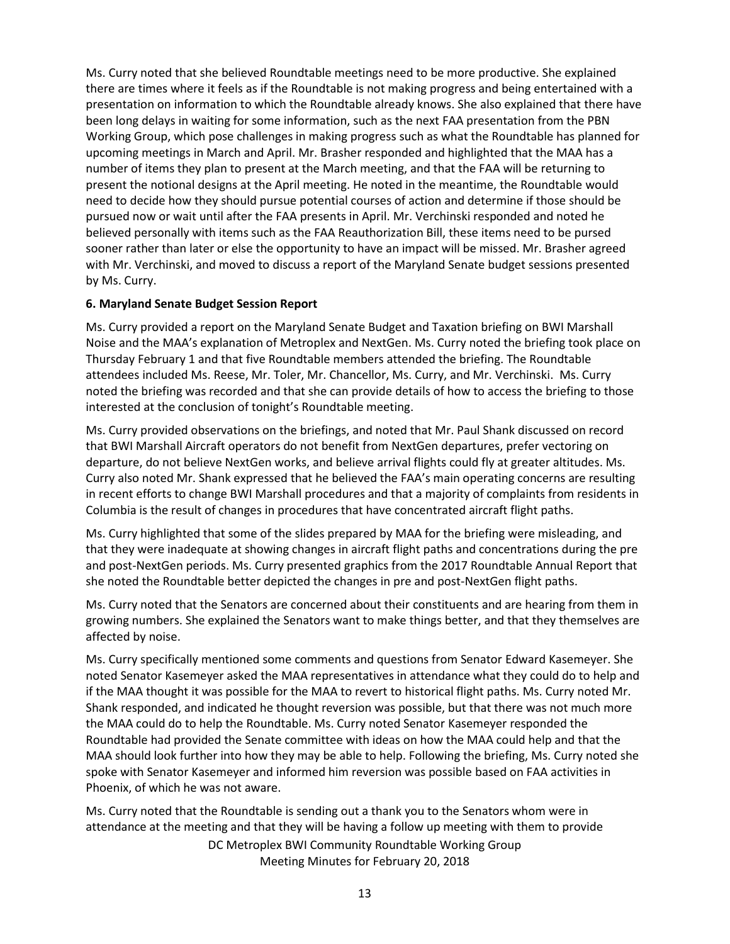Ms. Curry noted that she believed Roundtable meetings need to be more productive. She explained there are times where it feels as if the Roundtable is not making progress and being entertained with a presentation on information to which the Roundtable already knows. She also explained that there have been long delays in waiting for some information, such as the next FAA presentation from the PBN Working Group, which pose challenges in making progress such as what the Roundtable has planned for upcoming meetings in March and April. Mr. Brasher responded and highlighted that the MAA has a number of items they plan to present at the March meeting, and that the FAA will be returning to present the notional designs at the April meeting. He noted in the meantime, the Roundtable would need to decide how they should pursue potential courses of action and determine if those should be pursued now or wait until after the FAA presents in April. Mr. Verchinski responded and noted he believed personally with items such as the FAA Reauthorization Bill, these items need to be pursed sooner rather than later or else the opportunity to have an impact will be missed. Mr. Brasher agreed with Mr. Verchinski, and moved to discuss a report of the Maryland Senate budget sessions presented by Ms. Curry.

## **6. Maryland Senate Budget Session Report**

Ms. Curry provided a report on the Maryland Senate Budget and Taxation briefing on BWI Marshall Noise and the MAA's explanation of Metroplex and NextGen. Ms. Curry noted the briefing took place on Thursday February 1 and that five Roundtable members attended the briefing. The Roundtable attendees included Ms. Reese, Mr. Toler, Mr. Chancellor, Ms. Curry, and Mr. Verchinski. Ms. Curry noted the briefing was recorded and that she can provide details of how to access the briefing to those interested at the conclusion of tonight's Roundtable meeting.

Ms. Curry provided observations on the briefings, and noted that Mr. Paul Shank discussed on record that BWI Marshall Aircraft operators do not benefit from NextGen departures, prefer vectoring on departure, do not believe NextGen works, and believe arrival flights could fly at greater altitudes. Ms. Curry also noted Mr. Shank expressed that he believed the FAA's main operating concerns are resulting in recent efforts to change BWI Marshall procedures and that a majority of complaints from residents in Columbia is the result of changes in procedures that have concentrated aircraft flight paths.

Ms. Curry highlighted that some of the slides prepared by MAA for the briefing were misleading, and that they were inadequate at showing changes in aircraft flight paths and concentrations during the pre and post-NextGen periods. Ms. Curry presented graphics from the 2017 Roundtable Annual Report that she noted the Roundtable better depicted the changes in pre and post-NextGen flight paths.

Ms. Curry noted that the Senators are concerned about their constituents and are hearing from them in growing numbers. She explained the Senators want to make things better, and that they themselves are affected by noise.

Ms. Curry specifically mentioned some comments and questions from Senator Edward Kasemeyer. She noted Senator Kasemeyer asked the MAA representatives in attendance what they could do to help and if the MAA thought it was possible for the MAA to revert to historical flight paths. Ms. Curry noted Mr. Shank responded, and indicated he thought reversion was possible, but that there was not much more the MAA could do to help the Roundtable. Ms. Curry noted Senator Kasemeyer responded the Roundtable had provided the Senate committee with ideas on how the MAA could help and that the MAA should look further into how they may be able to help. Following the briefing, Ms. Curry noted she spoke with Senator Kasemeyer and informed him reversion was possible based on FAA activities in Phoenix, of which he was not aware.

DC Metroplex BWI Community Roundtable Working Group Ms. Curry noted that the Roundtable is sending out a thank you to the Senators whom were in attendance at the meeting and that they will be having a follow up meeting with them to provide

Meeting Minutes for February 20, 2018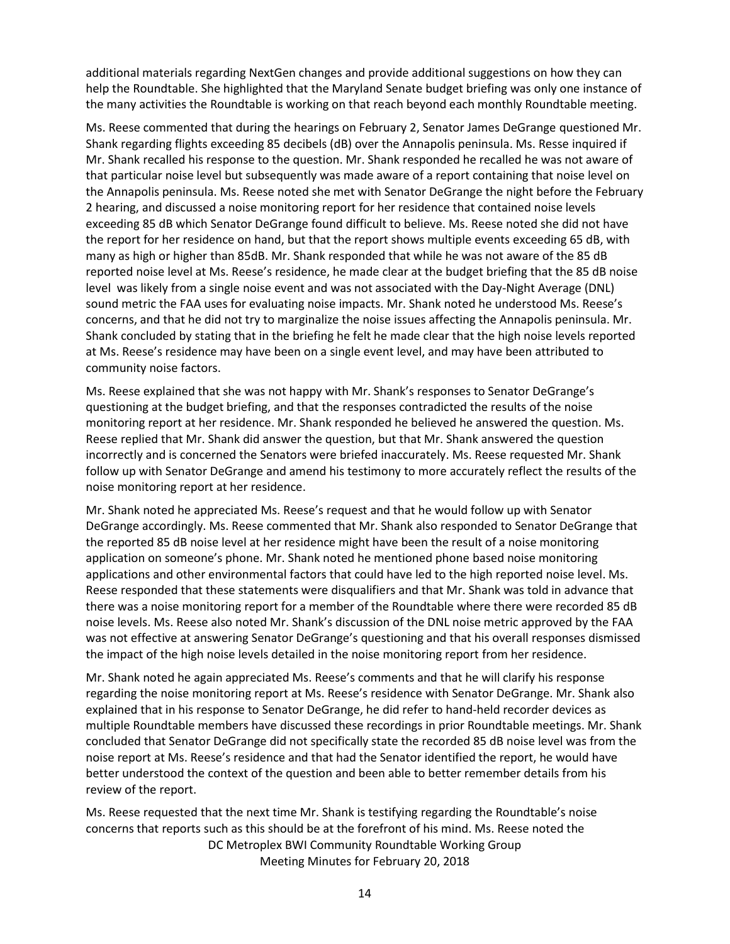additional materials regarding NextGen changes and provide additional suggestions on how they can help the Roundtable. She highlighted that the Maryland Senate budget briefing was only one instance of the many activities the Roundtable is working on that reach beyond each monthly Roundtable meeting.

Ms. Reese commented that during the hearings on February 2, Senator James DeGrange questioned Mr. Shank regarding flights exceeding 85 decibels (dB) over the Annapolis peninsula. Ms. Resse inquired if Mr. Shank recalled his response to the question. Mr. Shank responded he recalled he was not aware of that particular noise level but subsequently was made aware of a report containing that noise level on the Annapolis peninsula. Ms. Reese noted she met with Senator DeGrange the night before the February 2 hearing, and discussed a noise monitoring report for her residence that contained noise levels exceeding 85 dB which Senator DeGrange found difficult to believe. Ms. Reese noted she did not have the report for her residence on hand, but that the report shows multiple events exceeding 65 dB, with many as high or higher than 85dB. Mr. Shank responded that while he was not aware of the 85 dB reported noise level at Ms. Reese's residence, he made clear at the budget briefing that the 85 dB noise level was likely from a single noise event and was not associated with the Day-Night Average (DNL) sound metric the FAA uses for evaluating noise impacts. Mr. Shank noted he understood Ms. Reese's concerns, and that he did not try to marginalize the noise issues affecting the Annapolis peninsula. Mr. Shank concluded by stating that in the briefing he felt he made clear that the high noise levels reported at Ms. Reese's residence may have been on a single event level, and may have been attributed to community noise factors.

Ms. Reese explained that she was not happy with Mr. Shank's responses to Senator DeGrange's questioning at the budget briefing, and that the responses contradicted the results of the noise monitoring report at her residence. Mr. Shank responded he believed he answered the question. Ms. Reese replied that Mr. Shank did answer the question, but that Mr. Shank answered the question incorrectly and is concerned the Senators were briefed inaccurately. Ms. Reese requested Mr. Shank follow up with Senator DeGrange and amend his testimony to more accurately reflect the results of the noise monitoring report at her residence.

Mr. Shank noted he appreciated Ms. Reese's request and that he would follow up with Senator DeGrange accordingly. Ms. Reese commented that Mr. Shank also responded to Senator DeGrange that the reported 85 dB noise level at her residence might have been the result of a noise monitoring application on someone's phone. Mr. Shank noted he mentioned phone based noise monitoring applications and other environmental factors that could have led to the high reported noise level. Ms. Reese responded that these statements were disqualifiers and that Mr. Shank was told in advance that there was a noise monitoring report for a member of the Roundtable where there were recorded 85 dB noise levels. Ms. Reese also noted Mr. Shank's discussion of the DNL noise metric approved by the FAA was not effective at answering Senator DeGrange's questioning and that his overall responses dismissed the impact of the high noise levels detailed in the noise monitoring report from her residence.

Mr. Shank noted he again appreciated Ms. Reese's comments and that he will clarify his response regarding the noise monitoring report at Ms. Reese's residence with Senator DeGrange. Mr. Shank also explained that in his response to Senator DeGrange, he did refer to hand-held recorder devices as multiple Roundtable members have discussed these recordings in prior Roundtable meetings. Mr. Shank concluded that Senator DeGrange did not specifically state the recorded 85 dB noise level was from the noise report at Ms. Reese's residence and that had the Senator identified the report, he would have better understood the context of the question and been able to better remember details from his review of the report.

DC Metroplex BWI Community Roundtable Working Group Meeting Minutes for February 20, 2018 Ms. Reese requested that the next time Mr. Shank is testifying regarding the Roundtable's noise concerns that reports such as this should be at the forefront of his mind. Ms. Reese noted the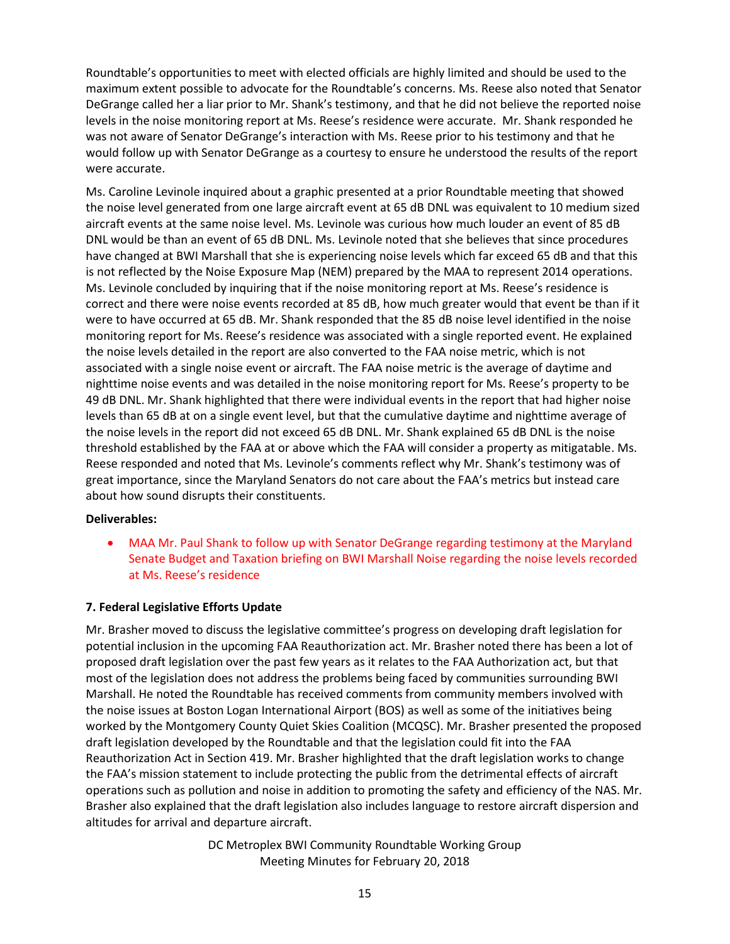Roundtable's opportunities to meet with elected officials are highly limited and should be used to the maximum extent possible to advocate for the Roundtable's concerns. Ms. Reese also noted that Senator DeGrange called her a liar prior to Mr. Shank's testimony, and that he did not believe the reported noise levels in the noise monitoring report at Ms. Reese's residence were accurate. Mr. Shank responded he was not aware of Senator DeGrange's interaction with Ms. Reese prior to his testimony and that he would follow up with Senator DeGrange as a courtesy to ensure he understood the results of the report were accurate.

Ms. Caroline Levinole inquired about a graphic presented at a prior Roundtable meeting that showed the noise level generated from one large aircraft event at 65 dB DNL was equivalent to 10 medium sized aircraft events at the same noise level. Ms. Levinole was curious how much louder an event of 85 dB DNL would be than an event of 65 dB DNL. Ms. Levinole noted that she believes that since procedures have changed at BWI Marshall that she is experiencing noise levels which far exceed 65 dB and that this is not reflected by the Noise Exposure Map (NEM) prepared by the MAA to represent 2014 operations. Ms. Levinole concluded by inquiring that if the noise monitoring report at Ms. Reese's residence is correct and there were noise events recorded at 85 dB, how much greater would that event be than if it were to have occurred at 65 dB. Mr. Shank responded that the 85 dB noise level identified in the noise monitoring report for Ms. Reese's residence was associated with a single reported event. He explained the noise levels detailed in the report are also converted to the FAA noise metric, which is not associated with a single noise event or aircraft. The FAA noise metric is the average of daytime and nighttime noise events and was detailed in the noise monitoring report for Ms. Reese's property to be 49 dB DNL. Mr. Shank highlighted that there were individual events in the report that had higher noise levels than 65 dB at on a single event level, but that the cumulative daytime and nighttime average of the noise levels in the report did not exceed 65 dB DNL. Mr. Shank explained 65 dB DNL is the noise threshold established by the FAA at or above which the FAA will consider a property as mitigatable. Ms. Reese responded and noted that Ms. Levinole's comments reflect why Mr. Shank's testimony was of great importance, since the Maryland Senators do not care about the FAA's metrics but instead care about how sound disrupts their constituents.

## **Deliverables:**

 MAA Mr. Paul Shank to follow up with Senator DeGrange regarding testimony at the Maryland Senate Budget and Taxation briefing on BWI Marshall Noise regarding the noise levels recorded at Ms. Reese's residence

## **7. Federal Legislative Efforts Update**

Mr. Brasher moved to discuss the legislative committee's progress on developing draft legislation for potential inclusion in the upcoming FAA Reauthorization act. Mr. Brasher noted there has been a lot of proposed draft legislation over the past few years as it relates to the FAA Authorization act, but that most of the legislation does not address the problems being faced by communities surrounding BWI Marshall. He noted the Roundtable has received comments from community members involved with the noise issues at Boston Logan International Airport (BOS) as well as some of the initiatives being worked by the Montgomery County Quiet Skies Coalition (MCQSC). Mr. Brasher presented the proposed draft legislation developed by the Roundtable and that the legislation could fit into the FAA Reauthorization Act in Section 419. Mr. Brasher highlighted that the draft legislation works to change the FAA's mission statement to include protecting the public from the detrimental effects of aircraft operations such as pollution and noise in addition to promoting the safety and efficiency of the NAS. Mr. Brasher also explained that the draft legislation also includes language to restore aircraft dispersion and altitudes for arrival and departure aircraft.